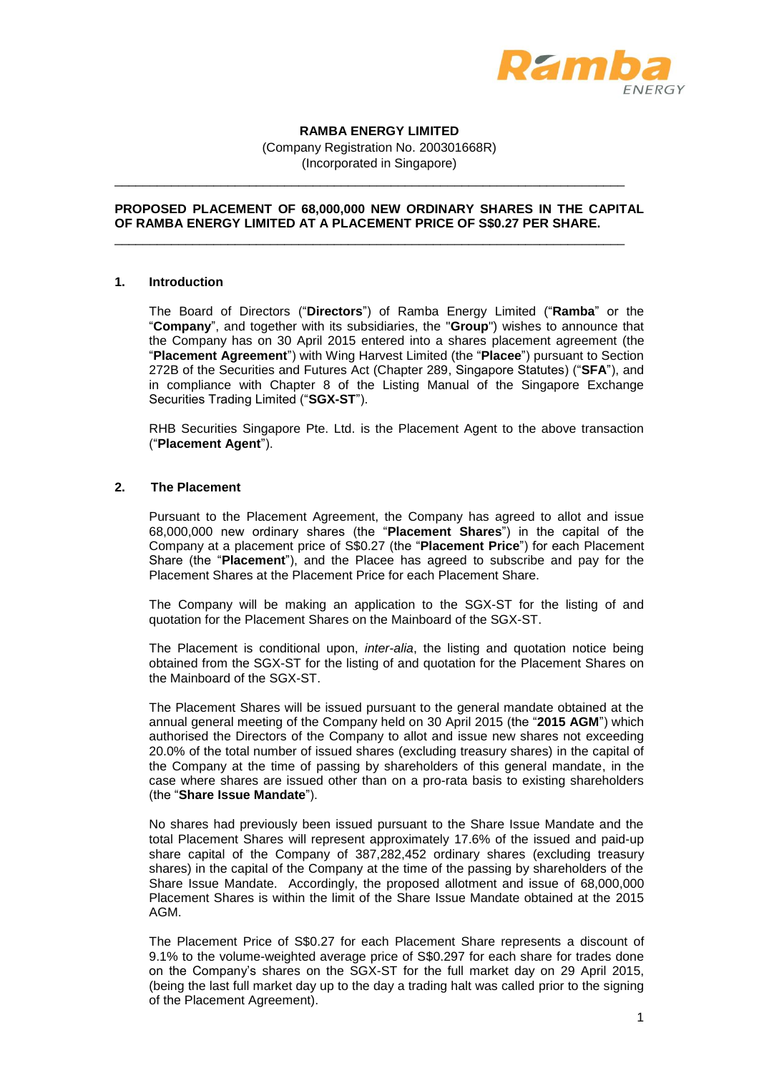

# **RAMBA ENERGY LIMITED**

(Company Registration No. 200301668R) (Incorporated in Singapore)

\_\_\_\_\_\_\_\_\_\_\_\_\_\_\_\_\_\_\_\_\_\_\_\_\_\_\_\_\_\_\_\_\_\_\_\_\_\_\_\_\_\_\_\_\_\_\_\_\_\_\_\_\_\_\_\_\_\_\_\_\_\_\_\_\_\_\_\_\_\_\_\_

\_\_\_\_\_\_\_\_\_\_\_\_\_\_\_\_\_\_\_\_\_\_\_\_\_\_\_\_\_\_\_\_\_\_\_\_\_\_\_\_\_\_\_\_\_\_\_\_\_\_\_\_\_\_\_\_\_\_\_\_\_\_\_\_\_\_\_\_\_\_\_\_

# **PROPOSED PLACEMENT OF 68,000,000 NEW ORDINARY SHARES IN THE CAPITAL OF RAMBA ENERGY LIMITED AT A PLACEMENT PRICE OF S\$0.27 PER SHARE.**

## **1. Introduction**

The Board of Directors ("**Directors**") of Ramba Energy Limited ("**Ramba**" or the "**Company**", and together with its subsidiaries, the "**Group**") wishes to announce that the Company has on 30 April 2015 entered into a shares placement agreement (the "**Placement Agreement**") with Wing Harvest Limited (the "**Placee**") pursuant to Section 272B of the Securities and Futures Act (Chapter 289, Singapore Statutes) ("**SFA**"), and in compliance with Chapter 8 of the Listing Manual of the Singapore Exchange Securities Trading Limited ("**SGX-ST**").

RHB Securities Singapore Pte. Ltd. is the Placement Agent to the above transaction ("**Placement Agent**").

## **2. The Placement**

Pursuant to the Placement Agreement, the Company has agreed to allot and issue 68,000,000 new ordinary shares (the "**Placement Shares**") in the capital of the Company at a placement price of S\$0.27 (the "**Placement Price**") for each Placement Share (the "**Placement**"), and the Placee has agreed to subscribe and pay for the Placement Shares at the Placement Price for each Placement Share.

The Company will be making an application to the SGX-ST for the listing of and quotation for the Placement Shares on the Mainboard of the SGX-ST.

The Placement is conditional upon, *inter-alia*, the listing and quotation notice being obtained from the SGX-ST for the listing of and quotation for the Placement Shares on the Mainboard of the SGX-ST.

The Placement Shares will be issued pursuant to the general mandate obtained at the annual general meeting of the Company held on 30 April 2015 (the "**2015 AGM**") which authorised the Directors of the Company to allot and issue new shares not exceeding 20.0% of the total number of issued shares (excluding treasury shares) in the capital of the Company at the time of passing by shareholders of this general mandate, in the case where shares are issued other than on a pro-rata basis to existing shareholders (the "**Share Issue Mandate**").

No shares had previously been issued pursuant to the Share Issue Mandate and the total Placement Shares will represent approximately 17.6% of the issued and paid-up share capital of the Company of 387,282,452 ordinary shares (excluding treasury shares) in the capital of the Company at the time of the passing by shareholders of the Share Issue Mandate. Accordingly, the proposed allotment and issue of 68,000,000 Placement Shares is within the limit of the Share Issue Mandate obtained at the 2015 AGM.

The Placement Price of S\$0.27 for each Placement Share represents a discount of 9.1% to the volume-weighted average price of S\$0.297 for each share for trades done on the Company's shares on the SGX-ST for the full market day on 29 April 2015, (being the last full market day up to the day a trading halt was called prior to the signing of the Placement Agreement).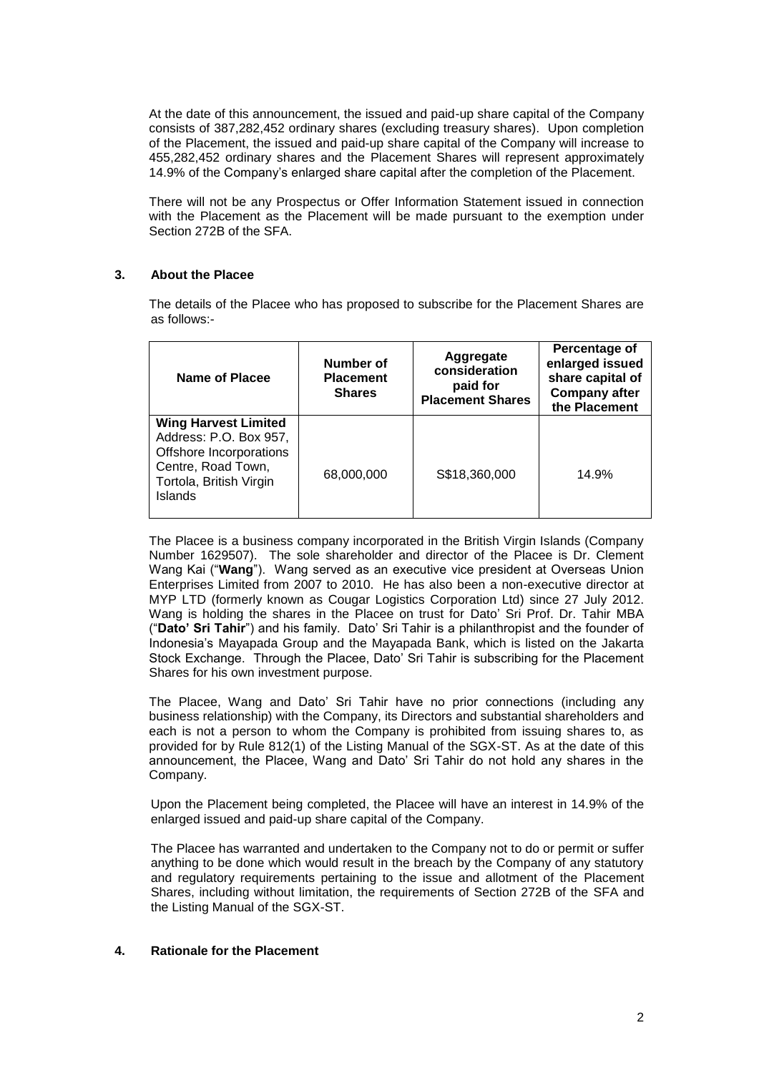At the date of this announcement, the issued and paid-up share capital of the Company consists of 387,282,452 ordinary shares (excluding treasury shares). Upon completion of the Placement, the issued and paid-up share capital of the Company will increase to 455,282,452 ordinary shares and the Placement Shares will represent approximately 14.9% of the Company's enlarged share capital after the completion of the Placement.

There will not be any Prospectus or Offer Information Statement issued in connection with the Placement as the Placement will be made pursuant to the exemption under Section 272B of the SFA.

# **3. About the Placee**

The details of the Placee who has proposed to subscribe for the Placement Shares are as follows:-

| Name of Placee                                                                                                                                      | Number of<br><b>Placement</b><br><b>Shares</b> | Aggregate<br>consideration<br>paid for<br><b>Placement Shares</b> | Percentage of<br>enlarged issued<br>share capital of<br><b>Company after</b><br>the Placement |
|-----------------------------------------------------------------------------------------------------------------------------------------------------|------------------------------------------------|-------------------------------------------------------------------|-----------------------------------------------------------------------------------------------|
| <b>Wing Harvest Limited</b><br>Address: P.O. Box 957,<br>Offshore Incorporations<br>Centre, Road Town,<br>Tortola, British Virgin<br><b>Islands</b> | 68,000,000                                     | S\$18,360,000                                                     | 14.9%                                                                                         |

The Placee is a business company incorporated in the British Virgin Islands (Company Number 1629507). The sole shareholder and director of the Placee is Dr. Clement Wang Kai ("**Wang**"). Wang served as an executive vice president at Overseas Union Enterprises Limited from 2007 to 2010. He has also been a non-executive director at MYP LTD (formerly known as Cougar Logistics Corporation Ltd) since 27 July 2012. Wang is holding the shares in the Placee on trust for Dato' Sri Prof. Dr. Tahir MBA ("**Dato' Sri Tahir**") and his family. Dato' Sri Tahir is a philanthropist and the founder of Indonesia's Mayapada Group and the Mayapada Bank, which is listed on the Jakarta Stock Exchange. Through the Placee, Dato' Sri Tahir is subscribing for the Placement Shares for his own investment purpose.

The Placee, Wang and Dato' Sri Tahir have no prior connections (including any business relationship) with the Company, its Directors and substantial shareholders and each is not a person to whom the Company is prohibited from issuing shares to, as provided for by Rule 812(1) of the Listing Manual of the SGX-ST. As at the date of this announcement, the Placee, Wang and Dato' Sri Tahir do not hold any shares in the Company.

Upon the Placement being completed, the Placee will have an interest in 14.9% of the enlarged issued and paid-up share capital of the Company.

The Placee has warranted and undertaken to the Company not to do or permit or suffer anything to be done which would result in the breach by the Company of any statutory and regulatory requirements pertaining to the issue and allotment of the Placement Shares, including without limitation, the requirements of Section 272B of the SFA and the Listing Manual of the SGX-ST.

# **4. Rationale for the Placement**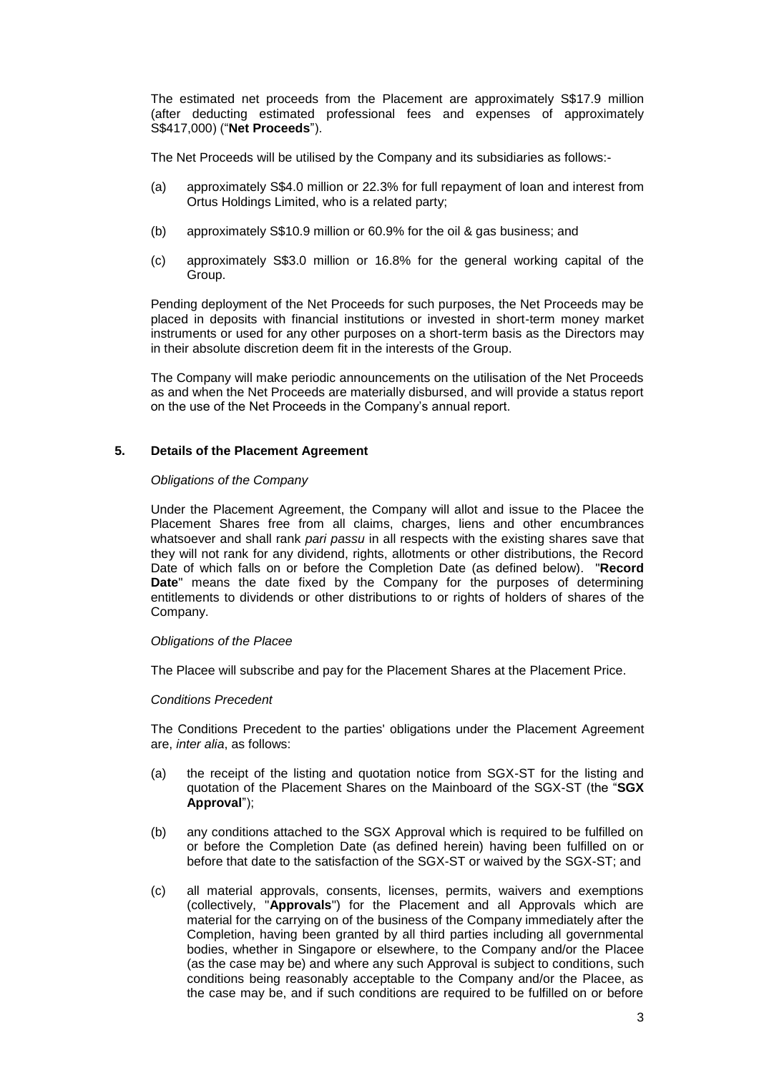The estimated net proceeds from the Placement are approximately S\$17.9 million (after deducting estimated professional fees and expenses of approximately S\$417,000) ("**Net Proceeds**").

The Net Proceeds will be utilised by the Company and its subsidiaries as follows:-

- (a) approximately S\$4.0 million or 22.3% for full repayment of loan and interest from Ortus Holdings Limited, who is a related party;
- (b) approximately S\$10.9 million or 60.9% for the oil & gas business; and
- (c) approximately S\$3.0 million or 16.8% for the general working capital of the Group.

Pending deployment of the Net Proceeds for such purposes, the Net Proceeds may be placed in deposits with financial institutions or invested in short-term money market instruments or used for any other purposes on a short-term basis as the Directors may in their absolute discretion deem fit in the interests of the Group.

The Company will make periodic announcements on the utilisation of the Net Proceeds as and when the Net Proceeds are materially disbursed, and will provide a status report on the use of the Net Proceeds in the Company's annual report.

## **5. Details of the Placement Agreement**

#### *Obligations of the Company*

Under the Placement Agreement, the Company will allot and issue to the Placee the Placement Shares free from all claims, charges, liens and other encumbrances whatsoever and shall rank *pari passu* in all respects with the existing shares save that they will not rank for any dividend, rights, allotments or other distributions, the Record Date of which falls on or before the Completion Date (as defined below). "**Record Date**" means the date fixed by the Company for the purposes of determining entitlements to dividends or other distributions to or rights of holders of shares of the Company.

#### *Obligations of the Placee*

The Placee will subscribe and pay for the Placement Shares at the Placement Price.

#### *Conditions Precedent*

The Conditions Precedent to the parties' obligations under the Placement Agreement are, *inter alia*, as follows:

- (a) the receipt of the listing and quotation notice from SGX-ST for the listing and quotation of the Placement Shares on the Mainboard of the SGX-ST (the "**SGX Approval**");
- (b) any conditions attached to the SGX Approval which is required to be fulfilled on or before the Completion Date (as defined herein) having been fulfilled on or before that date to the satisfaction of the SGX-ST or waived by the SGX-ST; and
- (c) all material approvals, consents, licenses, permits, waivers and exemptions (collectively, "**Approvals**") for the Placement and all Approvals which are material for the carrying on of the business of the Company immediately after the Completion, having been granted by all third parties including all governmental bodies, whether in Singapore or elsewhere, to the Company and/or the Placee (as the case may be) and where any such Approval is subject to conditions, such conditions being reasonably acceptable to the Company and/or the Placee, as the case may be, and if such conditions are required to be fulfilled on or before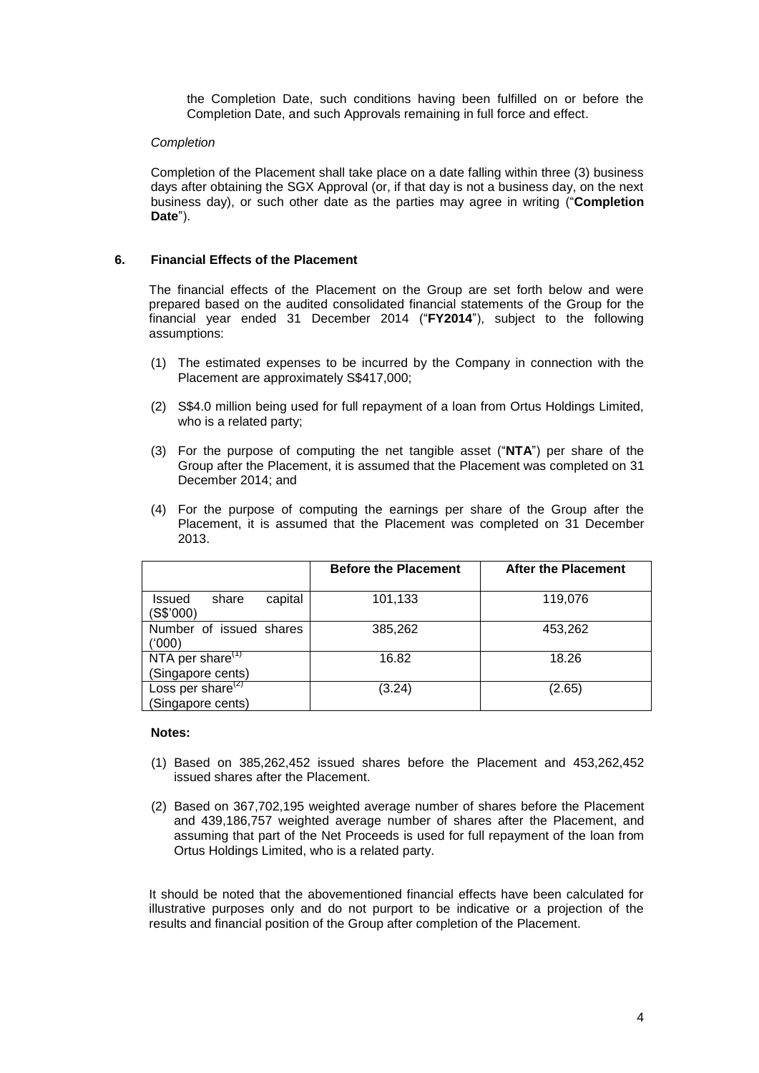the Completion Date, such conditions having been fulfilled on or before the Completion Date, and such Approvals remaining in full force and effect.

# *Completion*

Completion of the Placement shall take place on a date falling within three (3) business days after obtaining the SGX Approval (or, if that day is not a business day, on the next business day), or such other date as the parties may agree in writing ("**Completion Date**").

# **6. Financial Effects of the Placement**

The financial effects of the Placement on the Group are set forth below and were prepared based on the audited consolidated financial statements of the Group for the financial year ended 31 December 2014 ("**FY2014**"), subject to the following assumptions:

- (1) The estimated expenses to be incurred by the Company in connection with the Placement are approximately S\$417,000;
- (2) S\$4.0 million being used for full repayment of a loan from Ortus Holdings Limited, who is a related party;
- (3) For the purpose of computing the net tangible asset ("**NTA**") per share of the Group after the Placement, it is assumed that the Placement was completed on 31 December 2014; and
- (4) For the purpose of computing the earnings per share of the Group after the Placement, it is assumed that the Placement was completed on 31 December 2013.

|                                           | <b>Before the Placement</b> | After the Placement |
|-------------------------------------------|-----------------------------|---------------------|
| capital<br>share<br>Issued<br>(S\$'000)   | 101,133                     | 119,076             |
| Number of issued shares<br>('000)         | 385,262                     | 453,262             |
| NTA per share $(1)$<br>(Singapore cents)  | 16.82                       | 18.26               |
| Loss per share $(2)$<br>(Singapore cents) | (3.24)                      | (2.65)              |

## **Notes:**

- (1) Based on 385,262,452 issued shares before the Placement and 453,262,452 issued shares after the Placement.
- (2) Based on 367,702,195 weighted average number of shares before the Placement and 439,186,757 weighted average number of shares after the Placement, and assuming that part of the Net Proceeds is used for full repayment of the loan from Ortus Holdings Limited, who is a related party.

It should be noted that the abovementioned financial effects have been calculated for illustrative purposes only and do not purport to be indicative or a projection of the results and financial position of the Group after completion of the Placement.